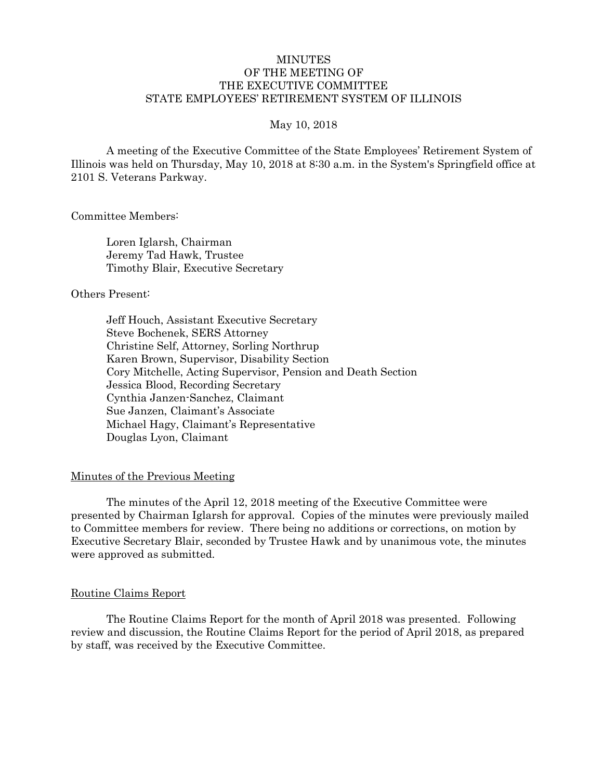# MINUTES OF THE MEETING OF THE EXECUTIVE COMMITTEE STATE EMPLOYEES' RETIREMENT SYSTEM OF ILLINOIS

#### May 10, 2018

A meeting of the Executive Committee of the State Employees' Retirement System of Illinois was held on Thursday, May 10, 2018 at 8:30 a.m. in the System's Springfield office at 2101 S. Veterans Parkway.

Committee Members:

Loren Iglarsh, Chairman Jeremy Tad Hawk, Trustee Timothy Blair, Executive Secretary

#### Others Present:

Jeff Houch, Assistant Executive Secretary Steve Bochenek, SERS Attorney Christine Self, Attorney, Sorling Northrup Karen Brown, Supervisor, Disability Section Cory Mitchelle, Acting Supervisor, Pension and Death Section Jessica Blood, Recording Secretary Cynthia Janzen-Sanchez, Claimant Sue Janzen, Claimant's Associate Michael Hagy, Claimant's Representative Douglas Lyon, Claimant

# Minutes of the Previous Meeting

The minutes of the April 12, 2018 meeting of the Executive Committee were presented by Chairman Iglarsh for approval. Copies of the minutes were previously mailed to Committee members for review. There being no additions or corrections, on motion by Executive Secretary Blair, seconded by Trustee Hawk and by unanimous vote, the minutes were approved as submitted.

#### Routine Claims Report

The Routine Claims Report for the month of April 2018 was presented. Following review and discussion, the Routine Claims Report for the period of April 2018, as prepared by staff, was received by the Executive Committee.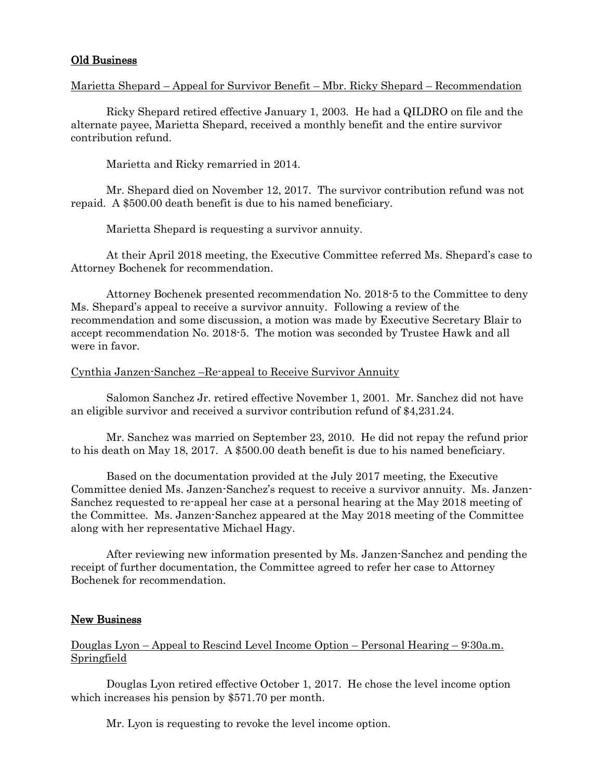# Old Business

# Marietta Shepard – Appeal for Survivor Benefit – Mbr. Ricky Shepard – Recommendation

Ricky Shepard retired effective January 1, 2003. He had a QILDRO on file and the alternate payee, Marietta Shepard, received a monthly benefit and the entire survivor contribution refund.

Marietta and Ricky remarried in 2014.

Mr. Shepard died on November 12, 2017. The survivor contribution refund was not repaid. A \$500.00 death benefit is due to his named beneficiary.

Marietta Shepard is requesting a survivor annuity.

At their April 2018 meeting, the Executive Committee referred Ms. Shepard's case to Attorney Bochenek for recommendation.

Attorney Bochenek presented recommendation No. 2018-5 to the Committee to deny Ms. Shepard's appeal to receive a survivor annuity. Following a review of the recommendation and some discussion, a motion was made by Executive Secretary Blair to accept recommendation No. 2018-5. The motion was seconded by Trustee Hawk and all were in favor.

#### Cynthia Janzen-Sanchez –Re-appeal to Receive Survivor Annuity

Salomon Sanchez Jr. retired effective November 1, 2001. Mr. Sanchez did not have an eligible survivor and received a survivor contribution refund of \$4,231.24.

Mr. Sanchez was married on September 23, 2010. He did not repay the refund prior to his death on May 18, 2017. A \$500.00 death benefit is due to his named beneficiary.

Based on the documentation provided at the July 2017 meeting, the Executive Committee denied Ms. Janzen-Sanchez's request to receive a survivor annuity. Ms. Janzen-Sanchez requested to re-appeal her case at a personal hearing at the May 2018 meeting of the Committee. Ms. Janzen-Sanchez appeared at the May 2018 meeting of the Committee along with her representative Michael Hagy.

After reviewing new information presented by Ms. Janzen-Sanchez and pending the receipt of further documentation, the Committee agreed to refer her case to Attorney Bochenek for recommendation.

# New Business

Douglas Lyon – Appeal to Rescind Level Income Option – Personal Hearing – 9:30a.m. Springfield

Douglas Lyon retired effective October 1, 2017. He chose the level income option which increases his pension by \$571.70 per month.

Mr. Lyon is requesting to revoke the level income option.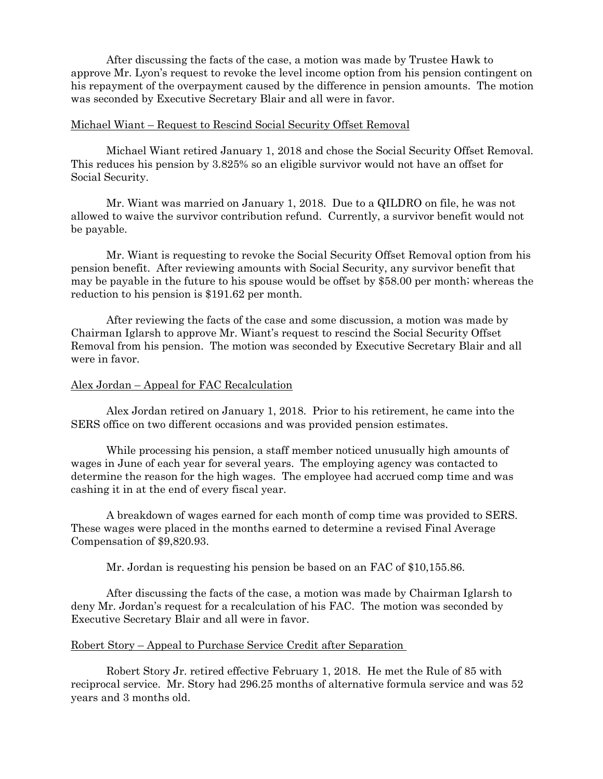After discussing the facts of the case, a motion was made by Trustee Hawk to approve Mr. Lyon's request to revoke the level income option from his pension contingent on his repayment of the overpayment caused by the difference in pension amounts. The motion was seconded by Executive Secretary Blair and all were in favor.

# Michael Wiant – Request to Rescind Social Security Offset Removal

Michael Wiant retired January 1, 2018 and chose the Social Security Offset Removal. This reduces his pension by 3.825% so an eligible survivor would not have an offset for Social Security.

Mr. Wiant was married on January 1, 2018. Due to a QILDRO on file, he was not allowed to waive the survivor contribution refund. Currently, a survivor benefit would not be payable.

Mr. Wiant is requesting to revoke the Social Security Offset Removal option from his pension benefit. After reviewing amounts with Social Security, any survivor benefit that may be payable in the future to his spouse would be offset by \$58.00 per month; whereas the reduction to his pension is \$191.62 per month.

After reviewing the facts of the case and some discussion, a motion was made by Chairman Iglarsh to approve Mr. Wiant's request to rescind the Social Security Offset Removal from his pension. The motion was seconded by Executive Secretary Blair and all were in favor.

# Alex Jordan – Appeal for FAC Recalculation

Alex Jordan retired on January 1, 2018. Prior to his retirement, he came into the SERS office on two different occasions and was provided pension estimates.

While processing his pension, a staff member noticed unusually high amounts of wages in June of each year for several years. The employing agency was contacted to determine the reason for the high wages. The employee had accrued comp time and was cashing it in at the end of every fiscal year.

A breakdown of wages earned for each month of comp time was provided to SERS. These wages were placed in the months earned to determine a revised Final Average Compensation of \$9,820.93.

Mr. Jordan is requesting his pension be based on an FAC of \$10,155.86.

After discussing the facts of the case, a motion was made by Chairman Iglarsh to deny Mr. Jordan's request for a recalculation of his FAC. The motion was seconded by Executive Secretary Blair and all were in favor.

# Robert Story – Appeal to Purchase Service Credit after Separation

Robert Story Jr. retired effective February 1, 2018. He met the Rule of 85 with reciprocal service. Mr. Story had 296.25 months of alternative formula service and was 52 years and 3 months old.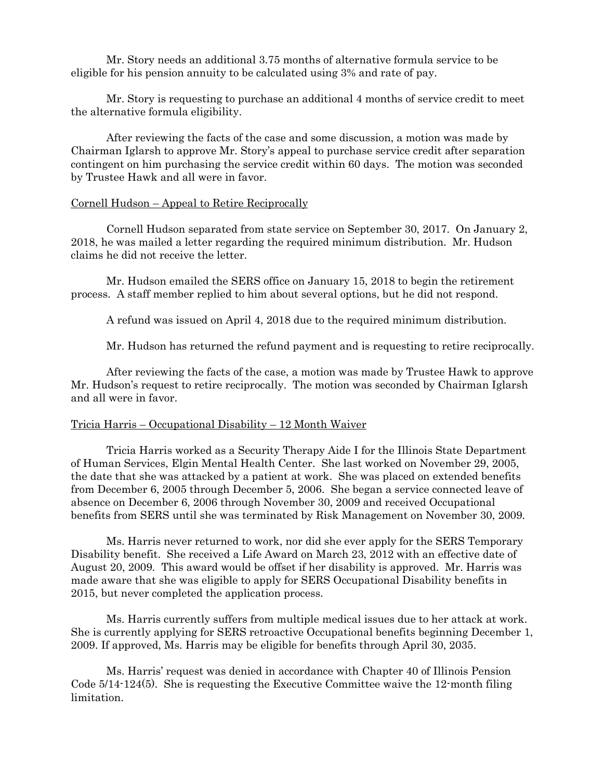Mr. Story needs an additional 3.75 months of alternative formula service to be eligible for his pension annuity to be calculated using 3% and rate of pay.

Mr. Story is requesting to purchase an additional 4 months of service credit to meet the alternative formula eligibility.

After reviewing the facts of the case and some discussion, a motion was made by Chairman Iglarsh to approve Mr. Story's appeal to purchase service credit after separation contingent on him purchasing the service credit within 60 days. The motion was seconded by Trustee Hawk and all were in favor.

#### Cornell Hudson – Appeal to Retire Reciprocally

Cornell Hudson separated from state service on September 30, 2017. On January 2, 2018, he was mailed a letter regarding the required minimum distribution. Mr. Hudson claims he did not receive the letter.

Mr. Hudson emailed the SERS office on January 15, 2018 to begin the retirement process. A staff member replied to him about several options, but he did not respond.

A refund was issued on April 4, 2018 due to the required minimum distribution.

Mr. Hudson has returned the refund payment and is requesting to retire reciprocally.

After reviewing the facts of the case, a motion was made by Trustee Hawk to approve Mr. Hudson's request to retire reciprocally. The motion was seconded by Chairman Iglarsh and all were in favor.

#### Tricia Harris – Occupational Disability – 12 Month Waiver

Tricia Harris worked as a Security Therapy Aide I for the Illinois State Department of Human Services, Elgin Mental Health Center. She last worked on November 29, 2005, the date that she was attacked by a patient at work. She was placed on extended benefits from December 6, 2005 through December 5, 2006. She began a service connected leave of absence on December 6, 2006 through November 30, 2009 and received Occupational benefits from SERS until she was terminated by Risk Management on November 30, 2009.

Ms. Harris never returned to work, nor did she ever apply for the SERS Temporary Disability benefit. She received a Life Award on March 23, 2012 with an effective date of August 20, 2009. This award would be offset if her disability is approved. Mr. Harris was made aware that she was eligible to apply for SERS Occupational Disability benefits in 2015, but never completed the application process.

Ms. Harris currently suffers from multiple medical issues due to her attack at work. She is currently applying for SERS retroactive Occupational benefits beginning December 1, 2009. If approved, Ms. Harris may be eligible for benefits through April 30, 2035.

Ms. Harris' request was denied in accordance with Chapter 40 of Illinois Pension Code 5/14-124(5). She is requesting the Executive Committee waive the 12-month filing limitation.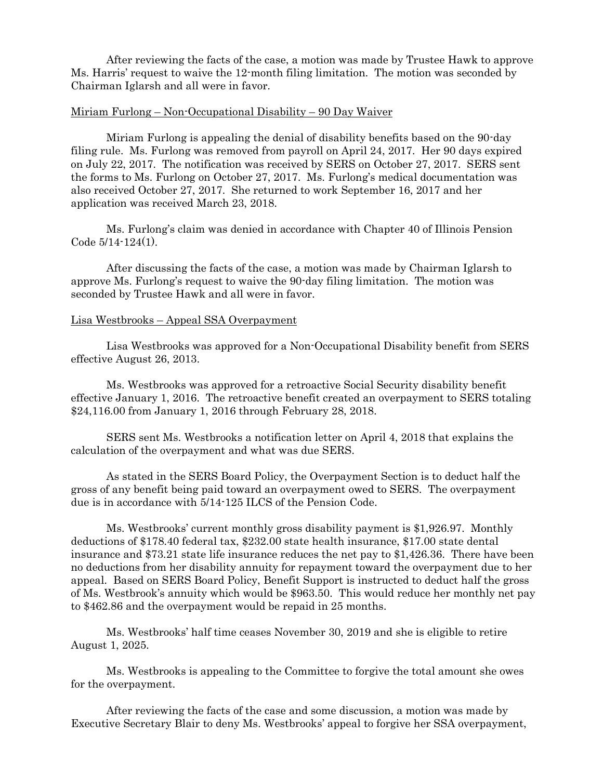After reviewing the facts of the case, a motion was made by Trustee Hawk to approve Ms. Harris' request to waive the 12-month filing limitation. The motion was seconded by Chairman Iglarsh and all were in favor.

# Miriam Furlong – Non-Occupational Disability – 90 Day Waiver

Miriam Furlong is appealing the denial of disability benefits based on the 90-day filing rule. Ms. Furlong was removed from payroll on April 24, 2017. Her 90 days expired on July 22, 2017. The notification was received by SERS on October 27, 2017. SERS sent the forms to Ms. Furlong on October 27, 2017. Ms. Furlong's medical documentation was also received October 27, 2017. She returned to work September 16, 2017 and her application was received March 23, 2018.

Ms. Furlong's claim was denied in accordance with Chapter 40 of Illinois Pension Code 5/14-124(1).

After discussing the facts of the case, a motion was made by Chairman Iglarsh to approve Ms. Furlong's request to waive the 90-day filing limitation. The motion was seconded by Trustee Hawk and all were in favor.

#### Lisa Westbrooks – Appeal SSA Overpayment

Lisa Westbrooks was approved for a Non-Occupational Disability benefit from SERS effective August 26, 2013.

Ms. Westbrooks was approved for a retroactive Social Security disability benefit effective January 1, 2016. The retroactive benefit created an overpayment to SERS totaling \$24,116.00 from January 1, 2016 through February 28, 2018.

SERS sent Ms. Westbrooks a notification letter on April 4, 2018 that explains the calculation of the overpayment and what was due SERS.

As stated in the SERS Board Policy, the Overpayment Section is to deduct half the gross of any benefit being paid toward an overpayment owed to SERS. The overpayment due is in accordance with 5/14-125 ILCS of the Pension Code.

Ms. Westbrooks' current monthly gross disability payment is \$1,926.97. Monthly deductions of \$178.40 federal tax, \$232.00 state health insurance, \$17.00 state dental insurance and \$73.21 state life insurance reduces the net pay to \$1,426.36. There have been no deductions from her disability annuity for repayment toward the overpayment due to her appeal. Based on SERS Board Policy, Benefit Support is instructed to deduct half the gross of Ms. Westbrook's annuity which would be \$963.50. This would reduce her monthly net pay to \$462.86 and the overpayment would be repaid in 25 months.

Ms. Westbrooks' half time ceases November 30, 2019 and she is eligible to retire August 1, 2025.

Ms. Westbrooks is appealing to the Committee to forgive the total amount she owes for the overpayment.

After reviewing the facts of the case and some discussion, a motion was made by Executive Secretary Blair to deny Ms. Westbrooks' appeal to forgive her SSA overpayment,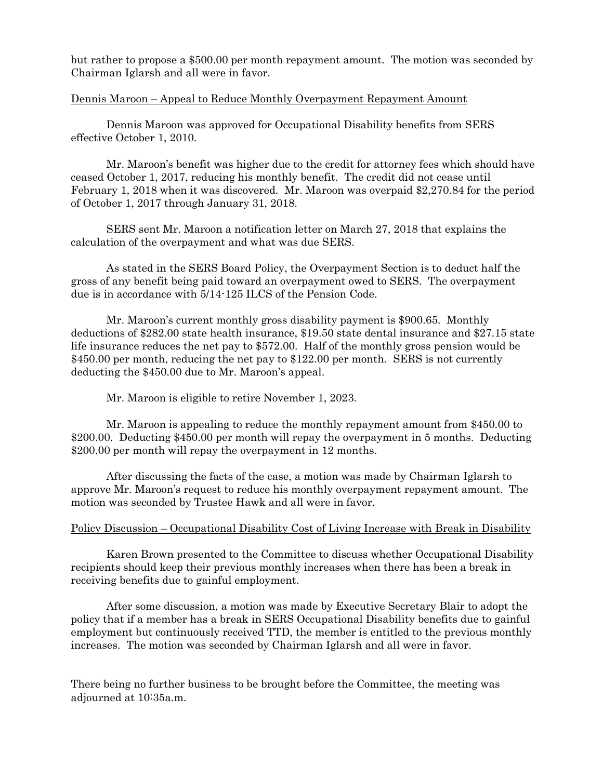but rather to propose a \$500.00 per month repayment amount. The motion was seconded by Chairman Iglarsh and all were in favor.

# Dennis Maroon – Appeal to Reduce Monthly Overpayment Repayment Amount

Dennis Maroon was approved for Occupational Disability benefits from SERS effective October 1, 2010.

Mr. Maroon's benefit was higher due to the credit for attorney fees which should have ceased October 1, 2017, reducing his monthly benefit. The credit did not cease until February 1, 2018 when it was discovered. Mr. Maroon was overpaid \$2,270.84 for the period of October 1, 2017 through January 31, 2018.

SERS sent Mr. Maroon a notification letter on March 27, 2018 that explains the calculation of the overpayment and what was due SERS.

As stated in the SERS Board Policy, the Overpayment Section is to deduct half the gross of any benefit being paid toward an overpayment owed to SERS. The overpayment due is in accordance with 5/14-125 ILCS of the Pension Code.

Mr. Maroon's current monthly gross disability payment is \$900.65. Monthly deductions of \$282.00 state health insurance, \$19.50 state dental insurance and \$27.15 state life insurance reduces the net pay to \$572.00. Half of the monthly gross pension would be \$450.00 per month, reducing the net pay to \$122.00 per month. SERS is not currently deducting the \$450.00 due to Mr. Maroon's appeal.

Mr. Maroon is eligible to retire November 1, 2023.

Mr. Maroon is appealing to reduce the monthly repayment amount from \$450.00 to \$200.00. Deducting \$450.00 per month will repay the overpayment in 5 months. Deducting \$200.00 per month will repay the overpayment in 12 months.

After discussing the facts of the case, a motion was made by Chairman Iglarsh to approve Mr. Maroon's request to reduce his monthly overpayment repayment amount. The motion was seconded by Trustee Hawk and all were in favor.

# Policy Discussion – Occupational Disability Cost of Living Increase with Break in Disability

Karen Brown presented to the Committee to discuss whether Occupational Disability recipients should keep their previous monthly increases when there has been a break in receiving benefits due to gainful employment.

After some discussion, a motion was made by Executive Secretary Blair to adopt the policy that if a member has a break in SERS Occupational Disability benefits due to gainful employment but continuously received TTD, the member is entitled to the previous monthly increases. The motion was seconded by Chairman Iglarsh and all were in favor.

There being no further business to be brought before the Committee, the meeting was adjourned at 10:35a.m.